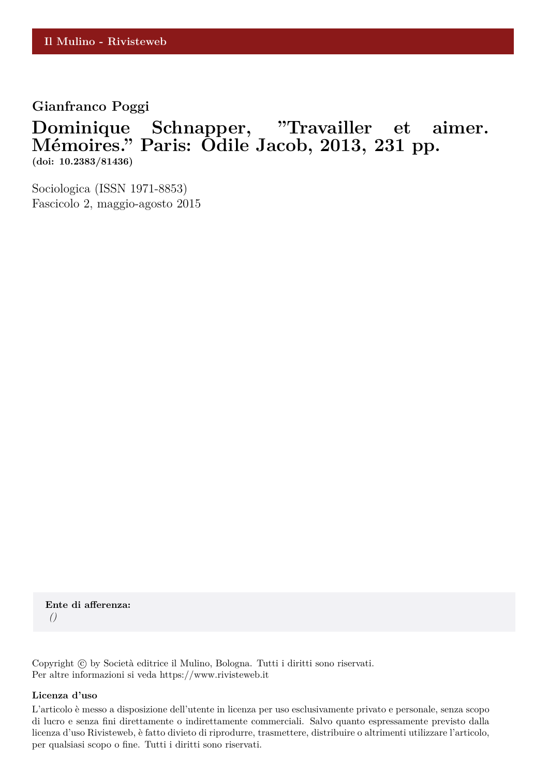### **Gianfranco Poggi**

# **Dominique Schnapper, "Travailler et aimer. M´emoires." Paris: Odile Jacob, 2013, 231 pp. (doi: 10.2383/81436)**

Sociologica (ISSN 1971-8853) Fascicolo 2, maggio-agosto 2015

**Ente di afferenza:** *()*

Copyright © by Società editrice il Mulino, Bologna. Tutti i diritti sono riservati. Per altre informazioni si veda https://www.rivisteweb.it

#### **Licenza d'uso**

L'articolo è messo a disposizione dell'utente in licenza per uso esclusivamente privato e personale, senza scopo di lucro e senza fini direttamente o indirettamente commerciali. Salvo quanto espressamente previsto dalla licenza d'uso Rivisteweb, è fatto divieto di riprodurre, trasmettere, distribuire o altrimenti utilizzare l'articolo, per qualsiasi scopo o fine. Tutti i diritti sono riservati.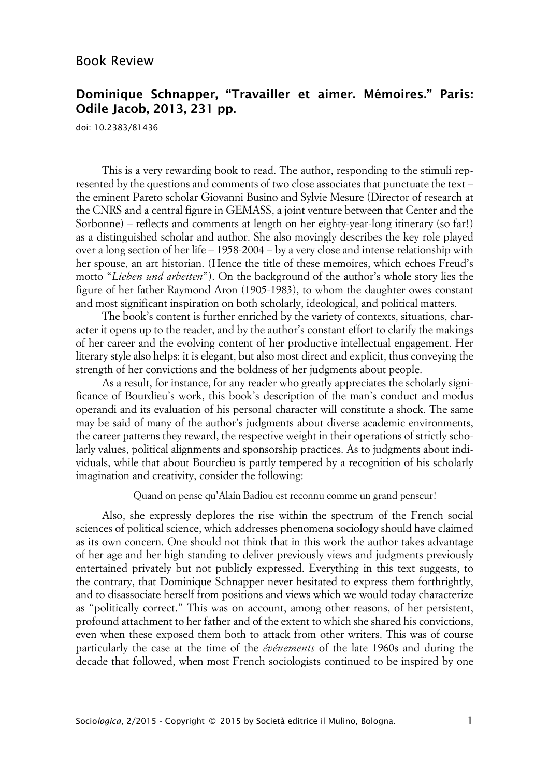## Book Review

### **Dominique Schnapper, "Travailler et aimer. Mémoires." Paris: Odile Jacob, 2013, 231 pp.**

doi: 10.2383/81436

This is a very rewarding book to read. The author, responding to the stimuli represented by the questions and comments of two close associates that punctuate the text – the eminent Pareto scholar Giovanni Busino and Sylvie Mesure (Director of research at the CNRS and a central figure in GEMASS, a joint venture between that Center and the Sorbonne) – reflects and comments at length on her eighty-year-long itinerary (so far!) as a distinguished scholar and author. She also movingly describes the key role played over a long section of her life – 1958-2004 – by a very close and intense relationship with her spouse, an art historian. (Hence the title of these memoires, which echoes Freud's motto "*Lieben und arbeiten*"). On the background of the author's whole story lies the figure of her father Raymond Aron (1905-1983), to whom the daughter owes constant and most significant inspiration on both scholarly, ideological, and political matters.

The book's content is further enriched by the variety of contexts, situations, character it opens up to the reader, and by the author's constant effort to clarify the makings of her career and the evolving content of her productive intellectual engagement. Her literary style also helps: it is elegant, but also most direct and explicit, thus conveying the strength of her convictions and the boldness of her judgments about people.

As a result, for instance, for any reader who greatly appreciates the scholarly significance of Bourdieu's work, this book's description of the man's conduct and modus operandi and its evaluation of his personal character will constitute a shock. The same may be said of many of the author's judgments about diverse academic environments, the career patterns they reward, the respective weight in their operations of strictly scholarly values, political alignments and sponsorship practices. As to judgments about individuals, while that about Bourdieu is partly tempered by a recognition of his scholarly imagination and creativity, consider the following:

Quand on pense qu'Alain Badiou est reconnu comme un grand penseur!

Also, she expressly deplores the rise within the spectrum of the French social sciences of political science, which addresses phenomena sociology should have claimed as its own concern. One should not think that in this work the author takes advantage of her age and her high standing to deliver previously views and judgments previously entertained privately but not publicly expressed. Everything in this text suggests, to the contrary, that Dominique Schnapper never hesitated to express them forthrightly, and to disassociate herself from positions and views which we would today characterize as "politically correct." This was on account, among other reasons, of her persistent, profound attachment to her father and of the extent to which she shared his convictions, even when these exposed them both to attack from other writers. This was of course particularly the case at the time of the *événements* of the late 1960s and during the decade that followed, when most French sociologists continued to be inspired by one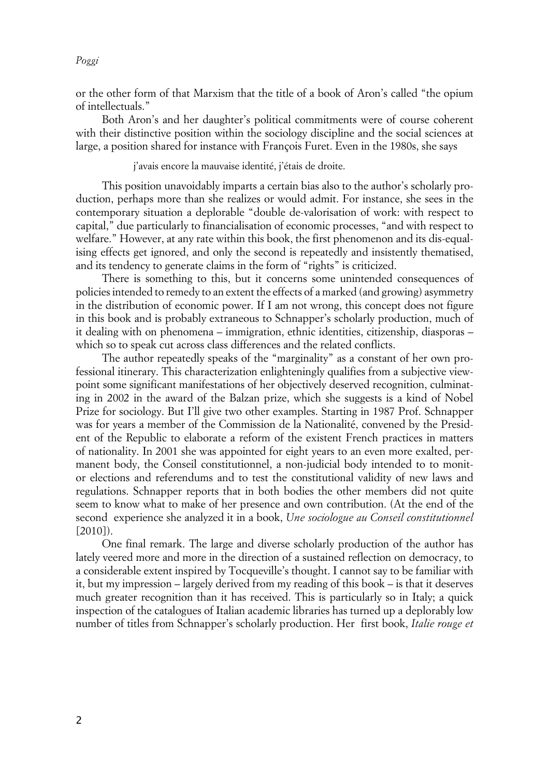*Poggi*

or the other form of that Marxism that the title of a book of Aron's called "the opium of intellectuals."

Both Aron's and her daughter's political commitments were of course coherent with their distinctive position within the sociology discipline and the social sciences at large, a position shared for instance with François Furet. Even in the 1980s, she says

j'avais encore la mauvaise identité, j'étais de droite.

This position unavoidably imparts a certain bias also to the author's scholarly production, perhaps more than she realizes or would admit. For instance, she sees in the contemporary situation a deplorable "double de-valorisation of work: with respect to capital," due particularly to financialisation of economic processes, "and with respect to welfare." However, at any rate within this book, the first phenomenon and its dis-equalising effects get ignored, and only the second is repeatedly and insistently thematised, and its tendency to generate claims in the form of "rights" is criticized.

There is something to this, but it concerns some unintended consequences of policies intended to remedy to an extent the effects of a marked (and growing) asymmetry in the distribution of economic power. If I am not wrong, this concept does not figure in this book and is probably extraneous to Schnapper's scholarly production, much of it dealing with on phenomena – immigration, ethnic identities, citizenship, diasporas – which so to speak cut across class differences and the related conflicts.

The author repeatedly speaks of the "marginality" as a constant of her own professional itinerary. This characterization enlighteningly qualifies from a subjective viewpoint some significant manifestations of her objectively deserved recognition, culminating in 2002 in the award of the Balzan prize, which she suggests is a kind of Nobel Prize for sociology. But I'll give two other examples. Starting in 1987 Prof. Schnapper was for years a member of the Commission de la Nationalité, convened by the President of the Republic to elaborate a reform of the existent French practices in matters of nationality. In 2001 she was appointed for eight years to an even more exalted, permanent body, the Conseil constitutionnel, a non-judicial body intended to to monitor elections and referendums and to test the constitutional validity of new laws and regulations. Schnapper reports that in both bodies the other members did not quite seem to know what to make of her presence and own contribution. (At the end of the second experience she analyzed it in a book, *Une sociologue au Conseil constitutionnel* [2010]).

One final remark. The large and diverse scholarly production of the author has lately veered more and more in the direction of a sustained reflection on democracy, to a considerable extent inspired by Tocqueville's thought. I cannot say to be familiar with it, but my impression – largely derived from my reading of this book – is that it deserves much greater recognition than it has received. This is particularly so in Italy; a quick inspection of the catalogues of Italian academic libraries has turned up a deplorably low number of titles from Schnapper's scholarly production. Her first book, *Italie rouge et*